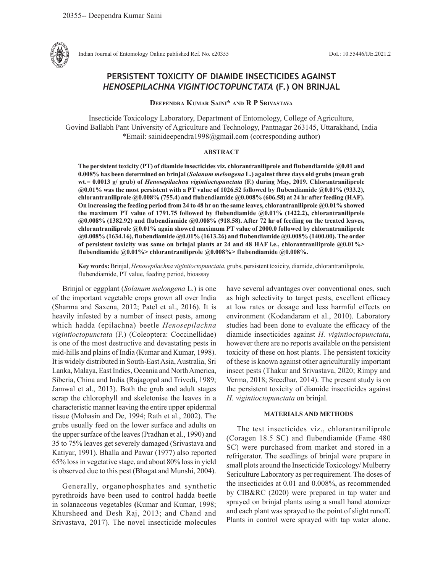

Indian Journal of Entomology Online published Ref. No. e20355 DoI.: 10.55446/IJE.2021.2

# **PERSISTENT TOXICITY OF DIAMIDE INSECTICIDES AGAINST**  *HENOSEPILACHNA VIGINTIOCTOPUNCTATA* **(F.) ON BRINJAL**

**Deependra Kumar Saini\* and R P Srivastava**

Insecticide Toxicology Laboratory, Department of Entomology, College of Agriculture, Govind Ballabh Pant University of Agriculture and Technology, Pantnagar 263145, Uttarakhand, India \*Email: sainideependra1998@gmail.com (corresponding author)

## **ABSTRACT**

**The persistent toxicity (PT) of diamide insecticides viz. chlorantraniliprole and flubendiamide @0.01 and 0.008% has been determined on brinjal (***Solanum melongena* **L.) against three days old grubs (mean grub wt.= 0.0013 g/ grub) of** *Henosepilachna vigintioctopunctata* **(F.) during May, 2019. Chlorantraniliprole @0.01% was the most persistent with a PT value of 1026.52 followed by flubendiamide @0.01% (933.2), chlorantraniliprole @0.008% (755.4) and flubendiamide @0.008% (606.58) at 24 hr after feeding (HAF). On increasing the feeding period from 24 to 48 hr on the same leaves, chlorantraniliprole @0.01% showed the maximum PT value of 1791.75 followed by flubendiamide @0.01% (1422.2), chlorantraniliprole @0.008% (1382.92) and flubendiamide @0.008% (918.58). After 72 hr of feeding on the treated leaves, chlorantraniliprole @0.01% again showed maximum PT value of 2000.0 followed by chlorantraniliprole @0.008% (1634.16), flubendiamide @0.01% (1613.26) and flubendiamide @0.008% (1400.00). The order of persistent toxicity was same on brinjal plants at 24 and 48 HAF i.e., chlorantraniliprole @0.01%> flubendiamide @0.01%> chlorantraniliprole @0.008%> flubendiamide @0.008%.** 

**Key words:** Brinjal, *Henosepilachna vigintioctopunctata*, grubs, persistent toxicity, diamide, chlorantraniliprole, flubendiamide, PT value, feeding period, bioassay

Brinjal or eggplant (*Solanum melongena* L.) is one of the important vegetable crops grown all over India (Sharma and Saxena, 2012; Patel et al., 2016). It is heavily infested by a number of insect pests, among which hadda (epilachna) beetle *Henosepilachna vigintioctopunctata* (F.) (Coleoptera: Coccinellidae) is one of the most destructive and devastating pests in mid-hills and plains of India (Kumar and Kumar, 1998). It is widely distributed in South-East Asia, Australia, Sri Lanka, Malaya, East Indies, Oceania and North America, Siberia, China and India (Rajagopal and Trivedi, 1989; Jamwal et al., 2013). Both the grub and adult stages scrap the chlorophyll and skeletonise the leaves in a characteristic manner leaving the entire upper epidermal tissue (Mohasin and De, 1994; Rath et al., 2002). The grubs usually feed on the lower surface and adults on the upper surface of the leaves (Pradhan et al., 1990) and 35 to 75% leaves get severely damaged (Srivastava and Katiyar, 1991). Bhalla and Pawar (1977) also reported 65% loss in vegetative stage, and about 80% loss in yield is observed due to this pest (Bhagat and Munshi, 2004).

Generally, organophosphates and synthetic pyrethroids have been used to control hadda beetle in solanaceous vegetables **(**Kumar and Kumar, 1998; Khursheed and Desh Raj, 2013; and Chand and Srivastava, 2017). The novel insecticide molecules

have several advantages over conventional ones, such as high selectivity to target pests, excellent efficacy at low rates or dosage and less harmful effects on environment (Kodandaram et al., 2010). Laboratory studies had been done to evaluate the efficacy of the diamide insecticides against *H. vigintioctopunctata*, however there are no reports available on the persistent toxicity of these on host plants. The persistent toxicity of these is known against other agriculturally important insect pests (Thakur and Srivastava, 2020; Rimpy and Verma, 2018; Sreedhar, 2014). The present study is on the persistent toxicity of diamide insecticides against *H. vigintioctopunctata* on brinjal.

## **MATERIALS AND METHODS**

The test insecticides viz., chlorantraniliprole (Coragen 18.5 SC) and flubendiamide (Fame 480 SC) were purchased from market and stored in a refrigerator. The seedlings of brinjal were prepare in small plots around the Insecticide Toxicology/ Mulberry Sericulture Laboratory as per requirement. The doses of the insecticides at 0.01 and 0.008%, as recommended by CIB&RC (2020) were prepared in tap water and sprayed on brinjal plants using a small hand atomizer and each plant was sprayed to the point of slight runoff. Plants in control were sprayed with tap water alone.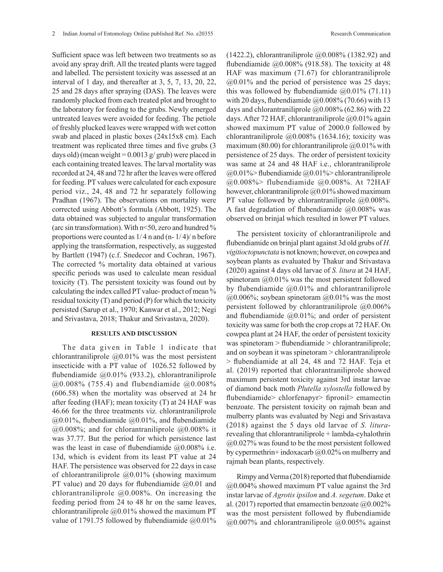Sufficient space was left between two treatments so as avoid any spray drift. All the treated plants were tagged and labelled. The persistent toxicity was assessed at an interval of 1 day, and thereafter at 3, 5, 7, 13, 20, 22, 25 and 28 days after spraying (DAS). The leaves were randomly plucked from each treated plot and brought to the laboratory for feeding to the grubs. Newly emerged untreated leaves were avoided for feeding. The petiole of freshly plucked leaves were wrapped with wet cotton swab and placed in plastic boxes (24x15x8 cm). Each treatment was replicated three times and five grubs (3 days old) (mean weight =  $0.0013$  g/ grub) were placed in each containing treated leaves. The larval mortality was recorded at 24, 48 and 72 hr after the leaves were offered for feeding. PT values were calculated for each exposure period viz., 24, 48 and 72 hr separately following Pradhan (1967). The observations on mortality were corrected using Abbott's formula (Abbott, 1925). The data obtained was subjected to angular transformation (arc sin transformation). With n<50, zero and hundred % proportions were counted as 1/ 4 n and (n- 1/ 4)/ n before applying the transformation, respectively, as suggested by Bartlett (1947) (c.f. Snedecor and Cochran, 1967). The corrected % mortality data obtained at various specific periods was used to calculate mean residual toxicity (T). The persistent toxicity was found out by calculating the index called PT value- product of mean % residual toxicity (T) and period (P) for which the toxicity persisted (Sarup et al., 1970; Kanwar et al., 2012; Negi and Srivastava, 2018; Thakur and Srivastava, 2020).

## **RESULTS AND DISCUSSION**

The data given in Table 1 indicate that chlorantraniliprole @0.01% was the most persistent insecticide with a PT value of 1026.52 followed by flubendiamide @0.01% (933.2), chlorantraniliprole  $(20.008\%,(755.4)$  and flubendiamide  $(20.008\%$ (606.58) when the mortality was observed at 24 hr after feeding (HAF); mean toxicity (T) at 24 HAF was 46.66 for the three treatments viz*.* chlorantraniliprole @0.01%, flubendiamide @0.01%, and flubendiamide  $(a)0.008\%$ ; and for chlorantraniliprole  $(a)0.008\%$  it was 37.77. But the period for which persistence last was the least in case of flubendiamide  $(20.008\%)$  i.e. 13d, which is evident from its least PT value at 24 HAF. The persistence was observed for 22 days in case of chlorantraniliprole  $(20.01\%$  (showing maximum PT value) and 20 days for flubendiamide @0.01 and chlorantraniliprole  $(20.008\%)$ . On increasing the feeding period from 24 to 48 hr on the same leaves, chlorantraniliprole  $(20.01\%$  showed the maximum PT value of 1791.75 followed by flubendiamide  $(20.01\%$ 

(1422.2), chlorantraniliprole @0.008% (1382.92) and flubendiamide  $@0.008\%$  (918.58). The toxicity at 48 HAF was maximum (71.67) for chlorantraniliprole  $(20.01\%$  and the period of persistence was 25 days; this was followed by flubendiamide  $(20.01\% (71.11))$ with 20 days, flubendiamide  $\omega$ 0.008% (70.66) with 13 days and chlorantraniliprole  $(20.008\%)(62.86)$  with 22 days. After 72 HAF, chlorantraniliprole  $(20.01\%$  again showed maximum PT value of 2000.0 followed by chlorantraniliprole @0.008% (1634.16); toxicity was maximum (80.00) for chlorantraniliprole  $@0.01\%$  with persistence of 25 days. The order of persistent toxicity was same at 24 and 48 HAF i.e., chlorantraniliprole  $@0.01\%$  flubendiamide  $@0.01\%$  chlorantraniliprole @0.008%> flubendiamide @0.008%. At 72HAF however, chlorantraniliprole @0.01% showed maximum PT value followed by chlorantraniliprole  $(20.008\%)$ . A fast degradation of flubendiamide  $(20.008\%$  was observed on brinjal which resulted in lower PT values.

The persistent toxicity of chlorantraniliprole and flubendiamide on brinjal plant against 3d old grubs of *H. vigitioctopunctata* is not known; however, on cowpea and soybean plants as evaluated by Thakur and Srivastava (2020) against 4 days old larvae of *S. litura* at 24 HAF, spinetoram @0.01% was the most persistent followed by flubendiamide @0.01% and chlorantraniliprole  $(a)0.006\%$ ; soybean spinetoram  $(a)0.01\%$  was the most persistent followed by chlorantraniliprole  $(20.006\%$ and flubendiamide  $(20.01\%;$  and order of persistent toxicity was same for both the crop crops at 72 HAF. On cowpea plant at 24 HAF, the order of persistent toxicity was spinetoram > flubendiamide > chlorantraniliprole; and on soybean it was spinetoram > chlorantraniliprole > flubendiamide at all 24, 48 and 72 HAF. Teja et al. (2019) reported that chlorantraniliprole showed maximum persistent toxicity against 3rd instar larvae of diamond back moth *Plutella xylostella* followed by flubendiamide> chlorfenapyr> fipronil> emamectin benzoate. The persistent toxicity on rajmah bean and mulberry plants was evaluated by Negi and Srivastava (2018) against the 5 days old larvae of *S. litura*revealing that chlorantraniliprole + lambda-cyhalothrin @0.027% was found to be the most persistent followed by cypermethrin+ indoxacarb @0.02% on mulberry and rajmah bean plants, respectively.

Rimpy and Verma (2018) reported that flubendiamide @0.004% showed maximum PT value against the 3rd instar larvae of *Agrotis ipsilon* and *A. segetum*. Dake et al. (2017) reported that emamectin benzoate  $@0.002\%$ was the most persistent followed by flubendiamide  $(a)$ ,  $0.007\%$  and chlorantraniliprole  $(a)$ ,  $0.005\%$  against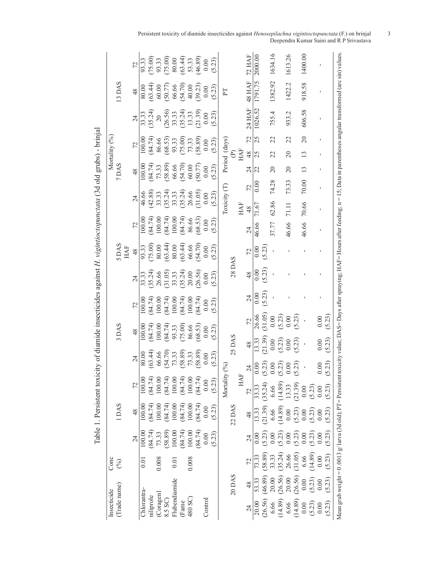| Insecticide                                                                                                                                                                                       | Conc                                         |                  |                  |                       |                      |                  |                  |                 |                                      |                      |                     |                      |                                                                      | Mortality (%)                    |                                                                     |                                       |                                                                     |               |
|---------------------------------------------------------------------------------------------------------------------------------------------------------------------------------------------------|----------------------------------------------|------------------|------------------|-----------------------|----------------------|------------------|------------------|-----------------|--------------------------------------|----------------------|---------------------|----------------------|----------------------------------------------------------------------|----------------------------------|---------------------------------------------------------------------|---------------------------------------|---------------------------------------------------------------------|---------------|
| (Trade name)                                                                                                                                                                                      | $(\%)$                                       |                  | 1DAS             |                       |                      | 3 DAS            |                  |                 |                                      | 5 DAS<br><b>HAF</b>  |                     |                      | 7 DAS                                                                |                                  |                                                                     |                                       | 13 DAS                                                              |               |
|                                                                                                                                                                                                   |                                              | 24               | 48               |                       | 24                   | 48               |                  | 72              | $\overline{24}$                      | 48                   | 72                  | 24                   | $\frac{8}{3}$                                                        |                                  | 72                                                                  | 24                                    | 48                                                                  | 72            |
| Chlorantra.                                                                                                                                                                                       | 0.01                                         | 100.00           | 100.00           | 100.00                | 80.00                | 100.00           |                  | 100.00          | 33.33                                | 93.33                | 100.00              | 46.66                | 100.00                                                               |                                  | 100.00                                                              | 33.33                                 | 80.00                                                               | 93.33         |
| niliprole                                                                                                                                                                                         |                                              | (84.74)          | (84.74)          | (84.74)               | (63.44)              | (84.74)          |                  | (84.74)         | (35.24)                              | (75.00)              | (84.74)             | (42.88)              |                                                                      |                                  | (84.74)                                                             | (35.24)                               | (63.44)                                                             | (75.00)       |
| (Coragen)                                                                                                                                                                                         | 0.008                                        | 73.33            | 100.00           | 100.00                | 66.66                | 100.00           |                  | 100.00          |                                      | 80.00                | 100.00              | 33.33                |                                                                      |                                  | 86.66                                                               | $\overline{c}$                        | 60.00                                                               | 93.33         |
| 8.5 SC)                                                                                                                                                                                           |                                              | (58.89)          | (84.74)          | (84.74)               |                      | (84.74)          |                  | (84.74)         | 26.66<br>(31.05)<br>33.33<br>(35.24) | $(63.44)$<br>80.00   | $(84.74)$<br>100.00 | (35.24)              | $(84.74)$<br>$73.33$<br>$73.33$<br>$(58.89)$<br>$66.66$<br>$(54.70)$ |                                  | $\begin{array}{c} (68.53) \\ 93.33 \\ (75.00) \\ 73.33 \end{array}$ |                                       | $\begin{array}{c} (50.77) \\ 66.66 \\ (54.70) \\ 40.00 \end{array}$ | (75.00)       |
| Flubendiamide                                                                                                                                                                                     | $\overline{0.01}$                            | 100.00           | 100.00           | 100.00                | $(54.70)$<br>$73.33$ | 93.33            |                  | 100.00          |                                      |                      |                     | 33.33                |                                                                      |                                  |                                                                     | $(26.56)$<br>33.33<br>35.24)<br>35.33 |                                                                     | 80.00         |
| (Fame                                                                                                                                                                                             |                                              | (84.74)          | (84.74)          | $(84.74)$<br>100.00   | (58.89)              | (75.00)          |                  | (84.74)         |                                      | $(63.44)$<br>$66.66$ | (84.74)             | $(35.24)$<br>$26.66$ |                                                                      |                                  |                                                                     |                                       |                                                                     | (63.44)       |
| 480 SC)                                                                                                                                                                                           | 0.008                                        | 100.00           | 100.00           |                       | 73.33                | 86.66            |                  | 100.00          | 20.00                                |                      | 86.66               |                      |                                                                      |                                  |                                                                     |                                       |                                                                     | 53.33         |
|                                                                                                                                                                                                   |                                              | (84.74)          | (84.74)          | (84.74)               | (58.89)              | (68.53)          |                  | (84.74)         | (26.56)                              | (54.70)              | $(68.53)$<br>0.00   | (31.05)              | (50.77)                                                              |                                  | (58.89)                                                             | (21.39)                               | (39.23)                                                             | (46.89)       |
| Control                                                                                                                                                                                           |                                              | 0.00             | $0.00\,$         | 0.00                  | $0.00\,$             | $0.00\,$         |                  | $0.00$          | 0.00                                 | $0.00\,$             |                     | $0.00\,$             | $0.00\,$                                                             |                                  | $0.00\,$                                                            | $0.00\,$                              | $0.00\,$                                                            | $0.00\,$      |
|                                                                                                                                                                                                   |                                              | (5.23)           | (5.23)           | (5.23)                | (5.23)               | (5.23)           |                  | (5.23)          | (5.23)                               | (5.23)               | (5.23)              | (5.23)               | (5.23)                                                               |                                  | (5.23)                                                              | (5.23)                                | (5.23)                                                              | (5.23)        |
|                                                                                                                                                                                                   |                                              |                  |                  | Mortality             | $(\%)$               |                  |                  |                 |                                      |                      |                     | Toxicity (T)         |                                                                      | Period (days)                    |                                                                     |                                       | $\Gamma$                                                            |               |
|                                                                                                                                                                                                   | 20 DAS                                       |                  | 22 DAS           |                       |                      | 25 DAS           |                  |                 | <b>28 DAS</b>                        |                      |                     |                      |                                                                      |                                  |                                                                     |                                       |                                                                     |               |
|                                                                                                                                                                                                   |                                              |                  |                  | HAF                   |                      |                  |                  |                 |                                      |                      |                     | HAF                  |                                                                      | $E_{\rm H}$                      |                                                                     |                                       |                                                                     |               |
|                                                                                                                                                                                                   | 48                                           |                  | 48               | 72                    | $\overline{c}$       | 48               | 72               | $\overline{24}$ | 48                                   | 72                   | 24                  | 48                   | 72                                                                   | $48$<br>24                       | 72                                                                  | 24 HAF                                | 48 HAF                                                              | <b>72 HAF</b> |
| 53.33<br>20.00                                                                                                                                                                                    | 73.33                                        | 0.00             | 13.33            | 33.33                 |                      | 13.33            |                  |                 | 0.00                                 | 0.00                 | 46.66               | 71.67                | 22<br>0.00                                                           | 25                               | 25                                                                  | 1026.52                               | 1791.75                                                             | 2000.00       |
| (26.56)                                                                                                                                                                                           | (58.89)<br>(46.89)                           | (5.23)           | (21.39)          | (35.24)               | (5.23)               | (21.39)          | 26.66<br>(31.05) | (5.23)          | (5.23)                               | (5.23)               |                     |                      |                                                                      |                                  |                                                                     |                                       |                                                                     |               |
| 6.66                                                                                                                                                                                              | 33.33<br>20.00                               | 0.00             | 6.66             | 6.66                  | $\frac{0}{2}$        | 0.00             | $0.00\,$         |                 |                                      |                      | 37.77               | 62.86                | 74.28                                                                | 22<br>$\overline{c}$             | 22                                                                  | 755.4                                 | 1382.92                                                             | 1634.16       |
| (14.89)                                                                                                                                                                                           | $(35.24)$<br>$26.66$<br>$(26.56)$<br>$20.00$ | (5.23)           | (14.89)          | $(14.89)$<br>13.33    |                      | $(5.23)$<br>0.00 | (5.23)           |                 |                                      |                      |                     |                      |                                                                      |                                  |                                                                     |                                       |                                                                     |               |
| 6.66                                                                                                                                                                                              |                                              | $0.00\,$         | $0.00\,$         |                       | $\odot$              |                  | $0.00\,$         |                 |                                      |                      | 46.66               | 71.11                | 73.33                                                                | $\overline{c}$<br>$\overline{c}$ | 22                                                                  | 933.2                                 | 1422.2                                                              | 1613.26       |
| (14.89)                                                                                                                                                                                           | (31.05)<br>(26.56)                           | $(5.23)$<br>0.00 | $(5.23)$<br>0.00 | (21.39)               | (23)                 | (5.23)           | (5.23)           |                 |                                      |                      |                     |                      |                                                                      |                                  |                                                                     |                                       |                                                                     |               |
| 0.00                                                                                                                                                                                              | 6.66<br>$0.00\,$                             |                  |                  | $0.00\,$              |                      |                  |                  |                 |                                      |                      | 46.66               | 70.66                | 70.00                                                                | $\mathbf{1}$<br>$\frac{3}{2}$    | $\overline{20}$                                                     | 606.58                                | 918.58                                                              | 1400.00       |
| (5.23)                                                                                                                                                                                            | (14.89)<br>(5.23)                            | (5.23)           | (5.23)           | (5.23)                |                      |                  |                  |                 |                                      |                      |                     |                      |                                                                      |                                  |                                                                     |                                       |                                                                     |               |
| 0.00                                                                                                                                                                                              | 0.00<br>0.00                                 | 0.00             | 0.00             | $\frac{0.00}{(5.23)}$ | 0.00                 | 0.00             | 0.00             |                 |                                      |                      |                     |                      |                                                                      |                                  |                                                                     |                                       |                                                                     |               |
| (5.23)                                                                                                                                                                                            | (5.23)<br>(5.23)                             | (5.23)           | (5.23)           |                       | (5.23)               | (5.23)           | (5.23)           |                 |                                      |                      |                     |                      |                                                                      |                                  |                                                                     |                                       |                                                                     |               |
| Mean grub weight = 0 .0013 g/ larva (3d old); PT= Persistent toxicity value; DAS= Days after spraying; HAF= Hours after feeding; n = 15; Data in parentheses angular transformed (arc sin) values |                                              |                  |                  |                       |                      |                  |                  |                 |                                      |                      |                     |                      |                                                                      |                                  |                                                                     |                                       |                                                                     |               |

Table 1. Persistent toxicity of diamide insecticides against *H. vigintioctopunctata* (3d old grubs) - brinjal Table 1. Persistent toxicity of diamide insecticides against *H. vigintioctopunctata* (3d old grubs) - brinjal Persistent toxicity of diamide insecticides against *Henosepilachna vigintioctopunctata* (F.) on brinjal 3 Deependra Kumar Saini and R P Srivastava